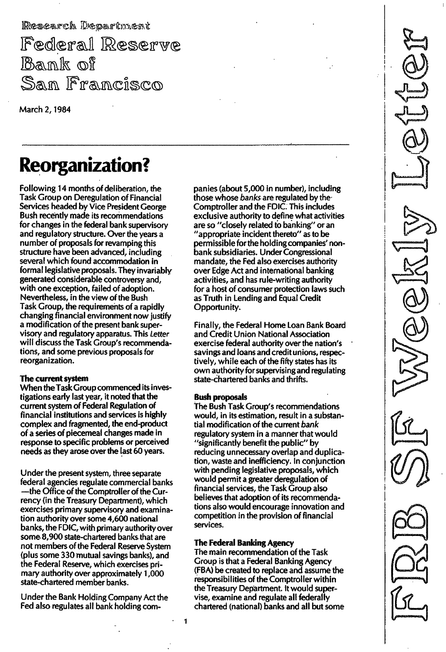Research Department Federal Reserve<br>Bank of San Francisco

March 2, 1984

# Reorganization?

Following 14 months of deliberation, the Task Group on Deregulation of Financial Services headed by Vice President George Bush recently made its recommendations for changes in the federal bank supervisory and regulatory structure. Over the years a number of proposals for revamping this structure have been advanced, including several which found accommodation in formal legislative proposals. They invariably generated considerable controversy and, with one exception, failed of adoption. Nevertheless, in the view of the Bush Task Group, the requirements of a rapidly changing financial environment now justify a modification of the present bank supervisory and regulatory apparatus. This Letter will discuss the Task Group's recommendations, and some previous proposals for reorganization.

# The current system

When the Task Group commenced its investigations early last year, it noted that the current system of Federal Regulation of financial institutions and services is highly complex and fragmented, the end-product of a series of piecemeal changes made in response to specific problems or perceived needs as they arose over the last 60 years.

Under the present system, three separate federal agencies regulate commercial banks -the Office of the Comptroller of the Currency (in the Treasury Department), which exercises primary supervisory and examination authority over some 4,600 national banks, the FDIC, with primary authority over some 8,900 state-chartered banks that are not members of the Federal Reserve System (plus some 330 mutual savings banks), and the Federal Reserve, which exercises primary authority over approximately 1 ,000 state-chartered member banks.

Under the Bank Holding Company Act the Fed also regulates all bank holding companies (about 5,000 in number), including those whose banks are regulated by the Comptroller and the FDIC. This includes exclusive authority to define what activities are so "closely related to banking" or an "appropriate incident thereto" as to be permissible for the holding companies' nonbank subsidiaries. Under Congressional mandate, the Fed also exercises authority over Edge Act and international banking activities, and has rule-writing authority for a host of consumer protection laws such as Truth in Lending and Equal Credit Opportunity.

- \_. \_" - - - - - - -

Finally, the Federal Home Loan Bank Board and Credit Union National Association exercise federal authority over the nation's savings and loans and credit unions, respectively, while each of the fifty states has its own authority for supervising and regulating state-chartered banks and thrifts.

# Bush proposals

The Bush Task Group's recommendations would, in its estimation, result in a substantial modification of the current bank regulatory system in a manner that would "significantly benefit the public" by reducing unnecessary overlap and duplication, waste and inefficiency. In conjunction with pending legislative proposals, which would permit a greater deregulation of financial services, the Task Group also believes that adoption of its recommendations also would encourage innovation and competition in the provision of financial services.

# The Federal Banking Agency

1

The main recommendation of the Task Group is that a Federal Banking Agency (FBA) be created to replace and assume the responsibilities of the Comptroller within the Treasury Department. It would supervise, examine and regulate all federally chartered (national) banks and all but some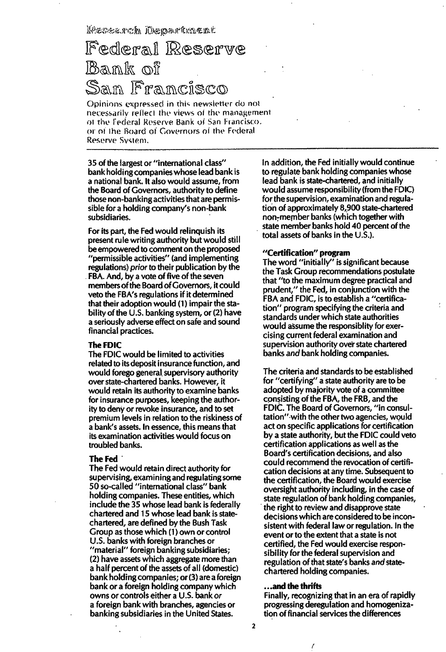Kesearch Mepartment

# Federal Reserve Bank of San Francisco

Opinions expressed in this newsletter do not necessarily reflect the views of the management of the Federal Reserve Bank of San Francisco. or of the Board of Governors of the Federal Reserve System. - - - - - - - - - - - - - , - - -

35 of the largest or "international class" bank holding companies whose lead bank is a national bank, It also would assurne, from the Board of Governors, authority to define those non-banking activities that are permissible for a holding company's non-bank subsidiaries,

For its part, the Fed would relinquish its present rule writing authority but would still be empowered to cornment on the proposed "permissible activities" (and implementing regulations) prior to their publication by the

FBA. And, by a vote of five of the seven membersof the Board of Governors, it cou Id veto the FBA's regulations if it determined that their adoption would (1) impair the stability of the U.S. banking system, or (2) have a seriously adverse effect on safe and sound financial practices.

#### The FDIC

The FDIC would be limited to activities related to its deposit insurance function, and would forego general supervisory authority over state-chartered banks. However, it would retain its authority to examine banks for insurance purposes, keeping the authority to deny or revoke insurance, and to set premium levels in relation to the riskiness of a bank's assets. In essence, this means that its examination activities would focus on troubled banks.

#### The Fed

The Fed would retain direct authority for supervising, examining and regulating some 50 so-called "international class" bank holding companies. These entities, which include the 35 whose lead bank is federally chartered and 15 whose lead bank is statechartered, are defined by the Bush Task Group as those which (1) own or control U.S. banks with foreign branches or "material" foreign banking subsidiaries; (2) have assets which aggregate more than a half percent of the assets of all (domestic) bank holding companies; or (3) are a foreign bank or a foreign holding company which owns or controls either a U.S. bank or a foreign bank with branches, agencies or banking subsidiaries in the United States.

In addition, the Fed initially would continue to regulate bank holding companies whose lead bank is state-chartered, and initially would assume responsibility (from the FDIC) for the supervision, examination and regulation of approximately 8,900 state-chartered non-member banks (which together with state member banks hold 40 percent of the total assets of banks in the U.s.).

#### "Certification" program

The word "initially" is significant because the Task Group recommendations postulate that "to the maximum degree practical and prudent," the Fed, in conjunction with the FBA and FDIC, is to establish a "certification" program specifying the criteria and standards under which state authorities would assume the responsiblity for exercising current federal examination and supervision authority over state chartered banks and bank holding companies.

The criteria and standards to be established for "certifying" a state authority are to be adopted by majority vote of a committee consisting of the FBA, the FRB, and the FDIC. The Board of Governors, "in consultation" with the other two agencies, would act on specific applications for certification by a state authority, but the FDIC could veto certification applications as well as the Board's certification decisions, and also could recommend the revocation of certification decisions at any time. Subsequent to the certification, the Board would exercise oversight authority including, in the case of state regulation of bank holding companies, the right to review and disapprove state decisions which are considered to be inconsistent with federal law or regulation. In the event or to the extent that a state is not certified, the Fed would exercise responsibility for the federal supervision and regulation of that state's banks and statechartered holding companies.

#### ... and the thrifts

Finally, recognizing that in an era of rapidly progressing deregulation and homogenization of financial services the differences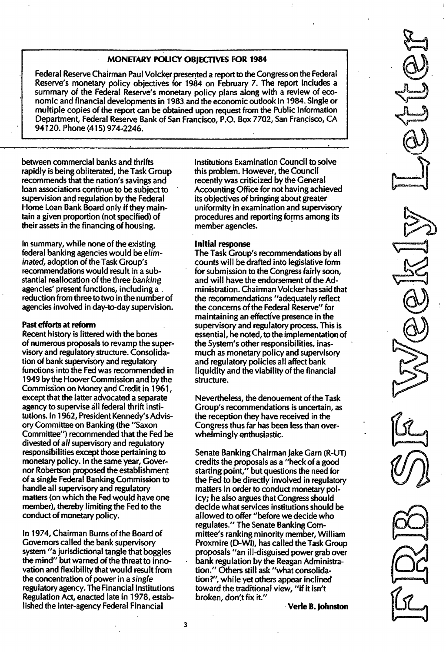# MONETARY POLICY OBJECTIVES FOR 1984

Federal Reserve Chairman Paul Volcker presented a report to the Congress on the Federal Reserve's monetary policy objectives for 1984 on February 7. The report includes a summary of the Federal Reserve's monetary policy plans along with a review of economic and financial developments in 1 983 and the economic outlook in 1984. Single or multiple copies of the report can be obtained upon request from the Public Information Department, Federal Reserve Bank of San Francisco, P.O. Box 7702, San Francisco, CA 941 20. Phone (415) 974-2246.

between commercial banks and thrifts rapidly is being obliterated, the Task Group recommends that the nation's savings and loan associations continue to be subject to supervision and regulation by the Federal Home Loan Bank Board only if they maintain a given proportion (not specified) of their assets in the financing of housing.

In summary, while none of the existing federal banking agencies would be eliminated, adoption of the Task Group's recommendations would result in a substantial reallocation of the three banking agencies' present functions, including a reduction from three to two in the numberof agencies involved in day-to-day supervision.

#### Past efforts at reform

Recent history is littered with the bones of numerous proposals to revamp the supervisory and regulatory structure. Consolidation of bank supervisory and regulatory functions into the Fed was recommended in 1949 by the Hoover Commission and by the Commission on Money and Credit in 1 961 , except that the latter advocated a separate agency to supervise all federal thrift institutions. In 1962, President Kennedy's Advisory Committee on Banking (the "Saxon Committee") recommended that the Fed be divested of aI/ supervisory and regulatory responsibilities except those pertaining to monetary policy. In the same year, Governor Robertson proposed the establishment of a single Federal Banking Commission to handle all supervisory and regulatory matters (on which the Fed would have one member), thereby limiting the Fed to the conduct of monetary policy.

In 1974, Chairman Burns of the Board of Governors called the bank supervisory system "a jurisdictional tangle that boggles the mind" but warned of the threat to innovation and flexibility that would result from the concentration of power in a single regulatory agency. The Financial Institutions Regulation Act, enacted late in 1 978, established the inter-agency Federal Financial

Institutions Examination Council to solve this problem. However, the Council recently was criticized by the General Accounting Office for not having achieved its objectives of bringing about greater uniformity in examination and supervisory procedures and reporting forms among its member agencies.

#### Initial response

The Task Group's recommendations by all counts will be drafted into legislative form for submission to the Congress fairly soon, and will have the endorsement of the Administration. Chairman Volcker has said that the recommendations "adequately reflect the concerns of the Federal Reserve" for maintaining an effective presence in the supervisory and regulatory process. This is essential, he noted, to the implementation of the System's other responsibilities, inasmuch as monetary policy and supervisory and regulatory policies all affect bank liquidity and the viability of the financial structure.

Nevertheless, the denouement of the Task Group's recommendations is uncertain, as the reception they have received in the Congress thus far has been less than overwhelmingly enthusiastic.

Senate Banking Chairman Jake Garn (R-UT) credits the proposals as a "heck of a good starting point," but questions the need for the Fed to be directly involved in regulatory matters in order to conduct monetary policy; he also argues that Congress should decide what services institutions should be allowed to offer "before we decide who regulates." The Senate Banking Committee's ranking minority member, William Proxmire (O-WI), has called the Task Group proposals "an ill-disguised power grab over bank regulation by the Reagan Administration." Others still ask "what consolidation?", while yet others appear inclined toward the traditional view, "if it isn't broken, don't fix it."

Verle B. Johnston

, ---<br>, ---- $\underline{\mathbb{G}}$